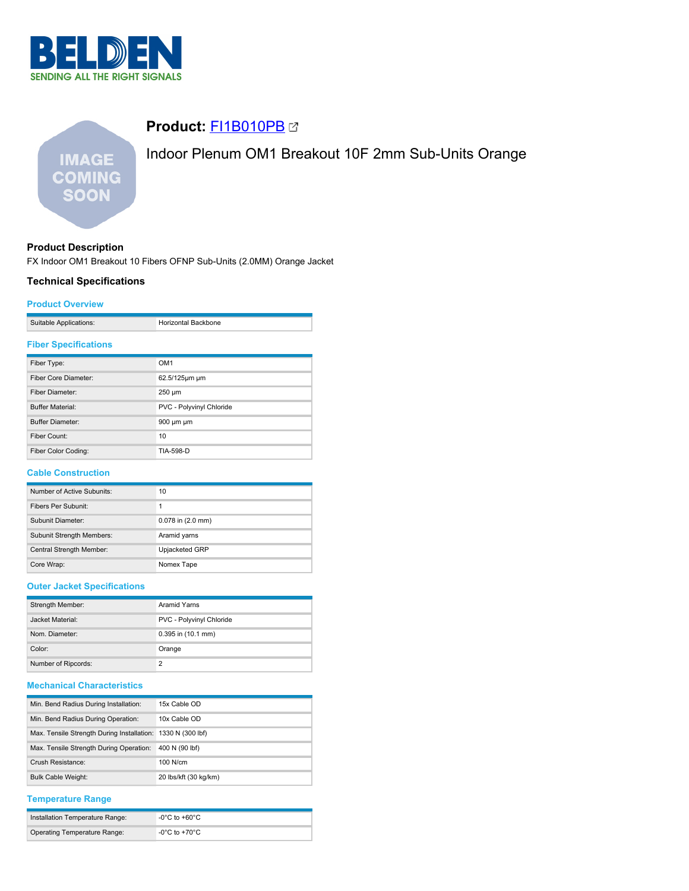

# **Product:** [FI1B010PB](https://catalog.belden.com/index.cfm?event=pd&p=PF_FI1B010PB&tab=downloads)

# Indoor Plenum OM1 Breakout 10F 2mm Sub-Units Orange

# **Product Description**

FX Indoor OM1 Breakout 10 Fibers OFNP Sub-Units (2.0MM) Orange Jacket

# **Technical Specifications**

**IMAGE COMING SOON** 

### **Product Overview**

| Suitable Applications: | Horizontal Backbone |
|------------------------|---------------------|

### **Fiber Specifications**

| Fiber Type:                 | OM <sub>1</sub>          |
|-----------------------------|--------------------------|
| <b>Fiber Core Diameter:</b> | 62.5/125um um            |
| Fiber Diameter:             | $250 \mu m$              |
| <b>Buffer Material:</b>     | PVC - Polyvinyl Chloride |
| <b>Buffer Diameter:</b>     | 900 um um                |
| Fiber Count:                | 10                       |
| Fiber Color Coding:         | TIA-598-D                |

#### **Cable Construction**

| Number of Active Subunits:       | 10                    |
|----------------------------------|-----------------------|
| Fibers Per Subunit:              |                       |
| Subunit Diameter:                | $0.078$ in $(2.0$ mm) |
| <b>Subunit Strength Members:</b> | Aramid yarns          |
| Central Strength Member:         | Upjacketed GRP        |
| Core Wrap:                       | Nomex Tape            |

# **Outer Jacket Specifications**

| Strength Member:    | <b>Aramid Yarns</b>      |
|---------------------|--------------------------|
| Jacket Material:    | PVC - Polyvinyl Chloride |
| Nom. Diameter:      | $0.395$ in $(10.1$ mm)   |
| Color:              | Orange                   |
| Number of Ripcords: | っ                        |

# **Mechanical Characteristics**

| Min. Bend Radius During Installation:                       | 15x Cable OD          |
|-------------------------------------------------------------|-----------------------|
| Min. Bend Radius During Operation:                          | 10x Cable OD          |
| Max. Tensile Strength During Installation: 1330 N (300 lbf) |                       |
| Max. Tensile Strength During Operation:                     | 400 N (90 lbf)        |
| Crush Resistance:                                           | $100$ N/cm            |
| <b>Bulk Cable Weight:</b>                                   | 20 lbs/kft (30 kg/km) |

## **Temperature Range**

| Installation Temperature Range:     | ੋ-0°C to +60°C |
|-------------------------------------|----------------|
| <b>Operating Temperature Range:</b> | -0°C to +70°C. |